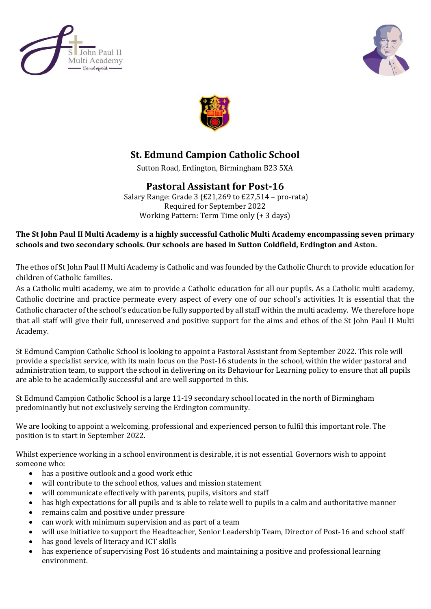





## **St. Edmund Campion Catholic School**

Sutton Road, Erdington, Birmingham B23 5XA

## **Pastoral Assistant for Post-16**

Salary Range: Grade 3 (£21,269 to £27,514 – pro-rata) Required for September 2022 Working Pattern: Term Time only (+ 3 days)

## **The St John Paul II Multi Academy is a highly successful Catholic Multi Academy encompassing seven primary schools and two secondary schools. Our schools are based in Sutton Coldfield, Erdington and Aston.**

The ethos of St John Paul II Multi Academy is Catholic and was founded by the Catholic Church to provide education for children of Catholic families.

As a Catholic multi academy, we aim to provide a Catholic education for all our pupils. As a Catholic multi academy, Catholic doctrine and practice permeate every aspect of every one of our school's activities. It is essential that the Catholic character of the school's education be fully supported by all staff within the multi academy. We therefore hope that all staff will give their full, unreserved and positive support for the aims and ethos of the St John Paul II Multi Academy.

St Edmund Campion Catholic School is looking to appoint a Pastoral Assistant from September 2022. This role will provide a specialist service, with its main focus on the Post-16 students in the school, within the wider pastoral and administration team, to support the school in delivering on its Behaviour for Learning policy to ensure that all pupils are able to be academically successful and are well supported in this.

St Edmund Campion Catholic School is a large 11-19 secondary school located in the north of Birmingham predominantly but not exclusively serving the Erdington community.

We are looking to appoint a welcoming, professional and experienced person to fulfil this important role. The position is to start in September 2022.

Whilst experience working in a school environment is desirable, it is not essential. Governors wish to appoint someone who:

- has a positive outlook and a good work ethic
- will contribute to the school ethos, values and mission statement
- will communicate effectively with parents, pupils, visitors and staff
- has high expectations for all pupils and is able to relate well to pupils in a calm and authoritative manner
- remains calm and positive under pressure
- can work with minimum supervision and as part of a team
- will use initiative to support the Headteacher, Senior Leadership Team, Director of Post-16 and school staff
- has good levels of literacy and ICT skills
- has experience of supervising Post 16 students and maintaining a positive and professional learning environment.